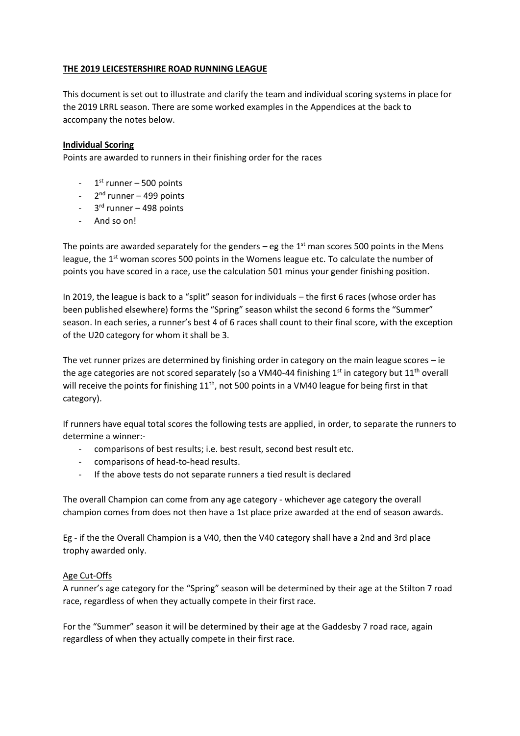### **THE 2019 LEICESTERSHIRE ROAD RUNNING LEAGUE**

This document is set out to illustrate and clarify the team and individual scoring systems in place for the 2019 LRRL season. There are some worked examples in the Appendices at the back to accompany the notes below.

### **Individual Scoring**

Points are awarded to runners in their finishing order for the races

- 1<sup>st</sup> runner 500 points
- 2<sup>nd</sup> runner 499 points
- 3<sup>rd</sup> runner 498 points
- And so on!

The points are awarded separately for the genders – eg the  $1<sup>st</sup>$  man scores 500 points in the Mens league, the 1<sup>st</sup> woman scores 500 points in the Womens league etc. To calculate the number of points you have scored in a race, use the calculation 501 minus your gender finishing position.

In 2019, the league is back to a "split" season for individuals – the first 6 races (whose order has been published elsewhere) forms the "Spring" season whilst the second 6 forms the "Summer" season. In each series, a runner's best 4 of 6 races shall count to their final score, with the exception of the U20 category for whom it shall be 3.

The vet runner prizes are determined by finishing order in category on the main league scores – ie the age categories are not scored separately (so a VM40-44 finishing  $1<sup>st</sup>$  in category but  $11<sup>th</sup>$  overall will receive the points for finishing 11<sup>th</sup>, not 500 points in a VM40 league for being first in that category).

If runners have equal total scores the following tests are applied, in order, to separate the runners to determine a winner:-

- comparisons of best results; i.e. best result, second best result etc.
- comparisons of head-to-head results.
- If the above tests do not separate runners a tied result is declared

The overall Champion can come from any age category - whichever age category the overall champion comes from does not then have a 1st place prize awarded at the end of season awards.

Eg - if the the Overall Champion is a V40, then the V40 category shall have a 2nd and 3rd place trophy awarded only.

# Age Cut-Offs

A runner's age category for the "Spring" season will be determined by their age at the Stilton 7 road race, regardless of when they actually compete in their first race.

For the "Summer" season it will be determined by their age at the Gaddesby 7 road race, again regardless of when they actually compete in their first race.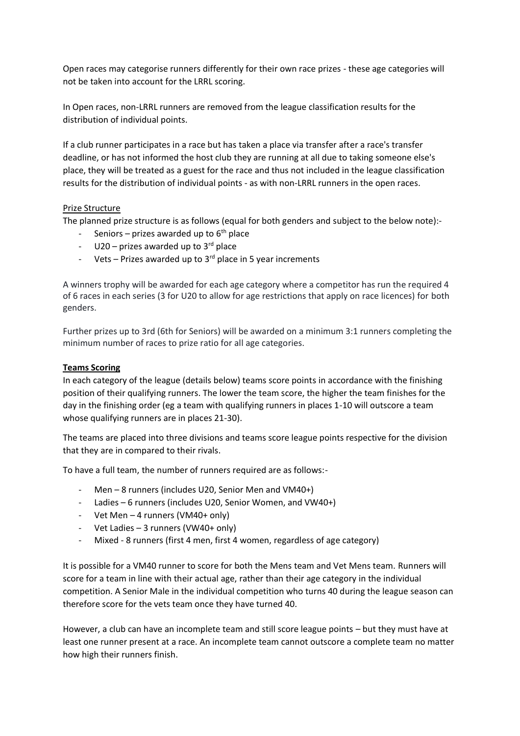Open races may categorise runners differently for their own race prizes - these age categories will not be taken into account for the LRRL scoring.

In Open races, non-LRRL runners are removed from the league classification results for the distribution of individual points.

If a club runner participates in a race but has taken a place via transfer after a race's transfer deadline, or has not informed the host club they are running at all due to taking someone else's place, they will be treated as a guest for the race and thus not included in the league classification results for the distribution of individual points - as with non-LRRL runners in the open races.

## Prize Structure

The planned prize structure is as follows (equal for both genders and subject to the below note):-

- Seniors prizes awarded up to  $6<sup>th</sup>$  place
- $U20 prizes$  awarded up to  $3<sup>rd</sup>$  place
- Vets Prizes awarded up to  $3<sup>rd</sup>$  place in 5 year increments

A winners trophy will be awarded for each age category where a competitor has run the required 4 of 6 races in each series (3 for U20 to allow for age restrictions that apply on race licences) for both genders.

Further prizes up to 3rd (6th for Seniors) will be awarded on a minimum 3:1 runners completing the minimum number of races to prize ratio for all age categories.

### **Teams Scoring**

In each category of the league (details below) teams score points in accordance with the finishing position of their qualifying runners. The lower the team score, the higher the team finishes for the day in the finishing order (eg a team with qualifying runners in places 1-10 will outscore a team whose qualifying runners are in places 21-30).

The teams are placed into three divisions and teams score league points respective for the division that they are in compared to their rivals.

To have a full team, the number of runners required are as follows:-

- Men 8 runners (includes U20, Senior Men and VM40+)
- Ladies 6 runners (includes U20, Senior Women, and VW40+)
- Vet Men 4 runners (VM40+ only)
- Vet Ladies 3 runners (VW40+ only)
- Mixed 8 runners (first 4 men, first 4 women, regardless of age category)

It is possible for a VM40 runner to score for both the Mens team and Vet Mens team. Runners will score for a team in line with their actual age, rather than their age category in the individual competition. A Senior Male in the individual competition who turns 40 during the league season can therefore score for the vets team once they have turned 40.

However, a club can have an incomplete team and still score league points – but they must have at least one runner present at a race. An incomplete team cannot outscore a complete team no matter how high their runners finish.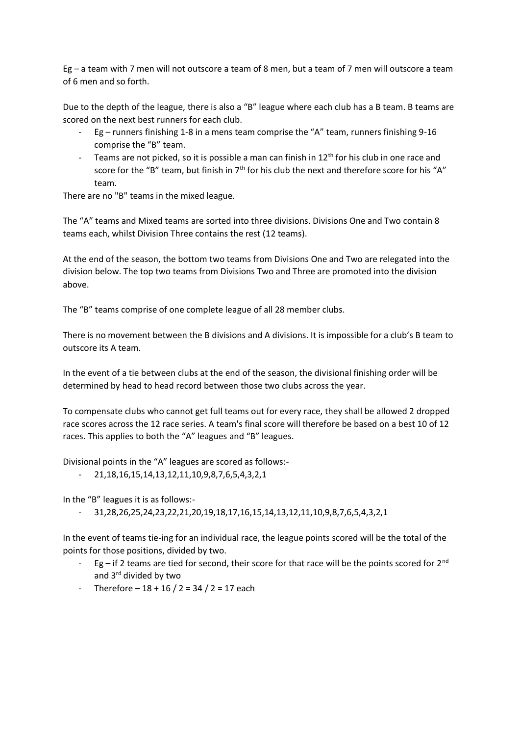Eg – a team with 7 men will not outscore a team of 8 men, but a team of 7 men will outscore a team of 6 men and so forth.

Due to the depth of the league, there is also a "B" league where each club has a B team. B teams are scored on the next best runners for each club.

- Eg runners finishing 1-8 in a mens team comprise the "A" team, runners finishing 9-16 comprise the "B" team.
- Teams are not picked, so it is possible a man can finish in 12<sup>th</sup> for his club in one race and score for the "B" team, but finish in 7<sup>th</sup> for his club the next and therefore score for his "A" team.

There are no "B" teams in the mixed league.

The "A" teams and Mixed teams are sorted into three divisions. Divisions One and Two contain 8 teams each, whilst Division Three contains the rest (12 teams).

At the end of the season, the bottom two teams from Divisions One and Two are relegated into the division below. The top two teams from Divisions Two and Three are promoted into the division above.

The "B" teams comprise of one complete league of all 28 member clubs.

There is no movement between the B divisions and A divisions. It is impossible for a club's B team to outscore its A team.

In the event of a tie between clubs at the end of the season, the divisional finishing order will be determined by head to head record between those two clubs across the year.

To compensate clubs who cannot get full teams out for every race, they shall be allowed 2 dropped race scores across the 12 race series. A team's final score will therefore be based on a best 10 of 12 races. This applies to both the "A" leagues and "B" leagues.

Divisional points in the "A" leagues are scored as follows:-

- 21,18,16,15,14,13,12,11,10,9,8,7,6,5,4,3,2,1

In the "B" leagues it is as follows:-

- 31,28,26,25,24,23,22,21,20,19,18,17,16,15,14,13,12,11,10,9,8,7,6,5,4,3,2,1

In the event of teams tie-ing for an individual race, the league points scored will be the total of the points for those positions, divided by two.

- Eg if 2 teams are tied for second, their score for that race will be the points scored for  $2^{nd}$ and 3<sup>rd</sup> divided by two
- Therefore  $-18 + 16 / 2 = 34 / 2 = 17$  each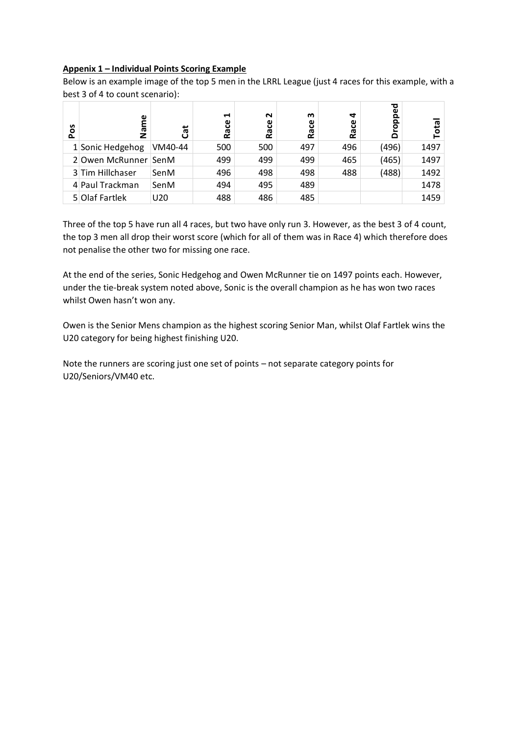## **Appenix 1 – Individual Points Scoring Example**

Below is an example image of the top 5 men in the LRRL League (just 4 races for this example, with a best 3 of 4 to count scenario):

| Pos | Φ<br>Name            | ថី      | H<br>Race | $\sim$<br>Race | ო<br>ပ္ပ<br><u>۾</u> | 4<br>Race | ᇴ<br>$\omega$<br>௨<br>ൎ<br>$\circ$<br>≏ | ota  |
|-----|----------------------|---------|-----------|----------------|----------------------|-----------|-----------------------------------------|------|
|     | 1 Sonic Hedgehog     | VM40-44 | 500       | 500            | 497                  | 496       | (496)                                   | 1497 |
|     | 2 Owen McRunner SenM |         | 499       | 499            | 499                  | 465       | (465)                                   | 1497 |
|     | 3 Tim Hillchaser     | SenM    | 496       | 498            | 498                  | 488       | (488)                                   | 1492 |
|     | 4 Paul Trackman      | SenM    | 494       | 495            | 489                  |           |                                         | 1478 |
|     | 5 Olaf Fartlek       | U20     | 488       | 486            | 485                  |           |                                         | 1459 |

Three of the top 5 have run all 4 races, but two have only run 3. However, as the best 3 of 4 count, the top 3 men all drop their worst score (which for all of them was in Race 4) which therefore does not penalise the other two for missing one race.

At the end of the series, Sonic Hedgehog and Owen McRunner tie on 1497 points each. However, under the tie-break system noted above, Sonic is the overall champion as he has won two races whilst Owen hasn't won any.

Owen is the Senior Mens champion as the highest scoring Senior Man, whilst Olaf Fartlek wins the U20 category for being highest finishing U20.

Note the runners are scoring just one set of points – not separate category points for U20/Seniors/VM40 etc.